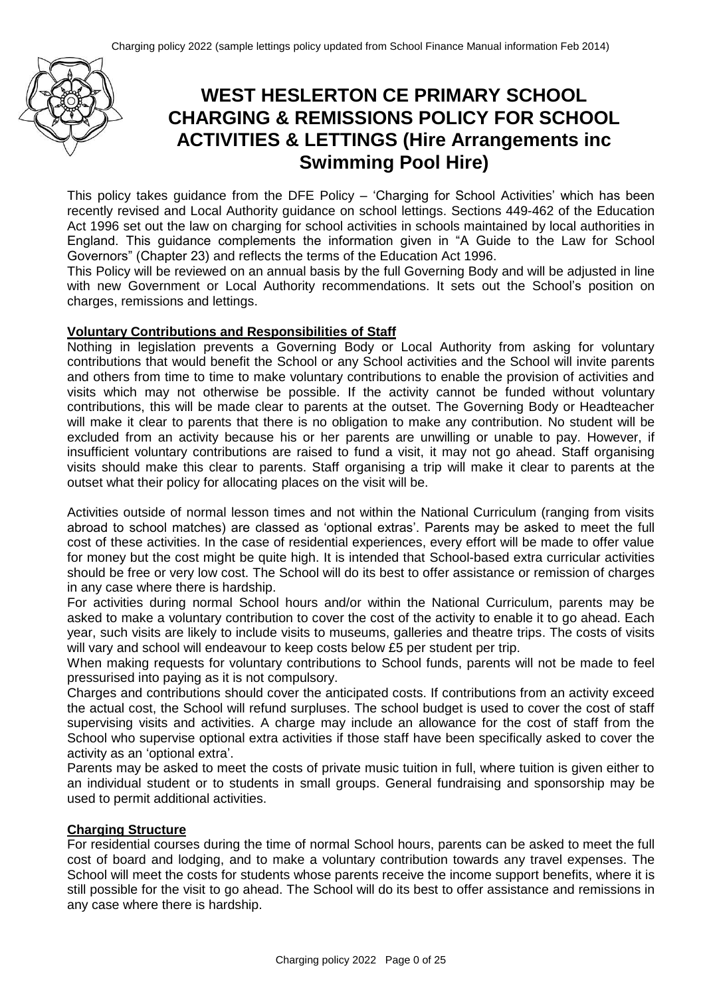

# **WEST HESLERTON CE PRIMARY SCHOOL CHARGING & REMISSIONS POLICY FOR SCHOOL ACTIVITIES & LETTINGS (Hire Arrangements inc Swimming Pool Hire)**

This policy takes guidance from the DFE Policy – 'Charging for School Activities' which has been recently revised and Local Authority guidance on school lettings. Sections 449-462 of the Education Act 1996 set out the law on charging for school activities in schools maintained by local authorities in England. This guidance complements the information given in "A Guide to the Law for School Governors" (Chapter 23) and reflects the terms of the Education Act 1996.

This Policy will be reviewed on an annual basis by the full Governing Body and will be adjusted in line with new Government or Local Authority recommendations. It sets out the School's position on charges, remissions and lettings.

### **Voluntary Contributions and Responsibilities of Staff**

Nothing in legislation prevents a Governing Body or Local Authority from asking for voluntary contributions that would benefit the School or any School activities and the School will invite parents and others from time to time to make voluntary contributions to enable the provision of activities and visits which may not otherwise be possible. If the activity cannot be funded without voluntary contributions, this will be made clear to parents at the outset. The Governing Body or Headteacher will make it clear to parents that there is no obligation to make any contribution. No student will be excluded from an activity because his or her parents are unwilling or unable to pay. However, if insufficient voluntary contributions are raised to fund a visit, it may not go ahead. Staff organising visits should make this clear to parents. Staff organising a trip will make it clear to parents at the outset what their policy for allocating places on the visit will be.

Activities outside of normal lesson times and not within the National Curriculum (ranging from visits abroad to school matches) are classed as 'optional extras'. Parents may be asked to meet the full cost of these activities. In the case of residential experiences, every effort will be made to offer value for money but the cost might be quite high. It is intended that School-based extra curricular activities should be free or very low cost. The School will do its best to offer assistance or remission of charges in any case where there is hardship.

For activities during normal School hours and/or within the National Curriculum, parents may be asked to make a voluntary contribution to cover the cost of the activity to enable it to go ahead. Each year, such visits are likely to include visits to museums, galleries and theatre trips. The costs of visits will vary and school will endeavour to keep costs below £5 per student per trip.

When making requests for voluntary contributions to School funds, parents will not be made to feel pressurised into paying as it is not compulsory.

Charges and contributions should cover the anticipated costs. If contributions from an activity exceed the actual cost, the School will refund surpluses. The school budget is used to cover the cost of staff supervising visits and activities. A charge may include an allowance for the cost of staff from the School who supervise optional extra activities if those staff have been specifically asked to cover the activity as an 'optional extra'.

Parents may be asked to meet the costs of private music tuition in full, where tuition is given either to an individual student or to students in small groups. General fundraising and sponsorship may be used to permit additional activities.

### **Charging Structure**

For residential courses during the time of normal School hours, parents can be asked to meet the full cost of board and lodging, and to make a voluntary contribution towards any travel expenses. The School will meet the costs for students whose parents receive the income support benefits, where it is still possible for the visit to go ahead. The School will do its best to offer assistance and remissions in any case where there is hardship.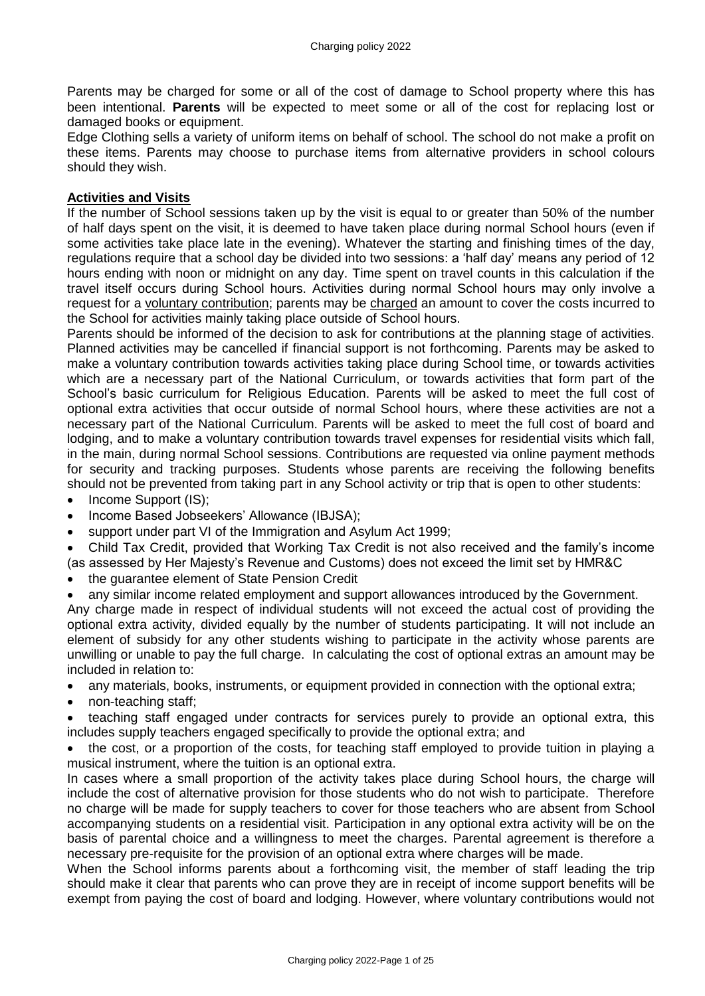Parents may be charged for some or all of the cost of damage to School property where this has been intentional. **Parents** will be expected to meet some or all of the cost for replacing lost or damaged books or equipment.

Edge Clothing sells a variety of uniform items on behalf of school. The school do not make a profit on these items. Parents may choose to purchase items from alternative providers in school colours should they wish.

### **Activities and Visits**

If the number of School sessions taken up by the visit is equal to or greater than 50% of the number of half days spent on the visit, it is deemed to have taken place during normal School hours (even if some activities take place late in the evening). Whatever the starting and finishing times of the day, regulations require that a school day be divided into two sessions: a 'half day' means any period of 12 hours ending with noon or midnight on any day. Time spent on travel counts in this calculation if the travel itself occurs during School hours. Activities during normal School hours may only involve a request for a voluntary contribution; parents may be charged an amount to cover the costs incurred to the School for activities mainly taking place outside of School hours.

Parents should be informed of the decision to ask for contributions at the planning stage of activities. Planned activities may be cancelled if financial support is not forthcoming. Parents may be asked to make a voluntary contribution towards activities taking place during School time, or towards activities which are a necessary part of the National Curriculum, or towards activities that form part of the School's basic curriculum for Religious Education. Parents will be asked to meet the full cost of optional extra activities that occur outside of normal School hours, where these activities are not a necessary part of the National Curriculum. Parents will be asked to meet the full cost of board and lodging, and to make a voluntary contribution towards travel expenses for residential visits which fall, in the main, during normal School sessions. Contributions are requested via online payment methods for security and tracking purposes. Students whose parents are receiving the following benefits should not be prevented from taking part in any School activity or trip that is open to other students:

- Income Support (IS);
- Income Based Jobseekers' Allowance (IBJSA);
- support under part VI of the Immigration and Asylum Act 1999;
- Child Tax Credit, provided that Working Tax Credit is not also received and the family's income
- (as assessed by Her Majesty's Revenue and Customs) does not exceed the limit set by HMR&C
- the guarantee element of State Pension Credit
- any similar income related employment and support allowances introduced by the Government.

Any charge made in respect of individual students will not exceed the actual cost of providing the optional extra activity, divided equally by the number of students participating. It will not include an element of subsidy for any other students wishing to participate in the activity whose parents are unwilling or unable to pay the full charge. In calculating the cost of optional extras an amount may be included in relation to:

- any materials, books, instruments, or equipment provided in connection with the optional extra;
- non-teaching staff;
- teaching staff engaged under contracts for services purely to provide an optional extra, this includes supply teachers engaged specifically to provide the optional extra; and

• the cost, or a proportion of the costs, for teaching staff employed to provide tuition in playing a musical instrument, where the tuition is an optional extra.

In cases where a small proportion of the activity takes place during School hours, the charge will include the cost of alternative provision for those students who do not wish to participate. Therefore no charge will be made for supply teachers to cover for those teachers who are absent from School accompanying students on a residential visit. Participation in any optional extra activity will be on the basis of parental choice and a willingness to meet the charges. Parental agreement is therefore a necessary pre-requisite for the provision of an optional extra where charges will be made.

When the School informs parents about a forthcoming visit, the member of staff leading the trip should make it clear that parents who can prove they are in receipt of income support benefits will be exempt from paying the cost of board and lodging. However, where voluntary contributions would not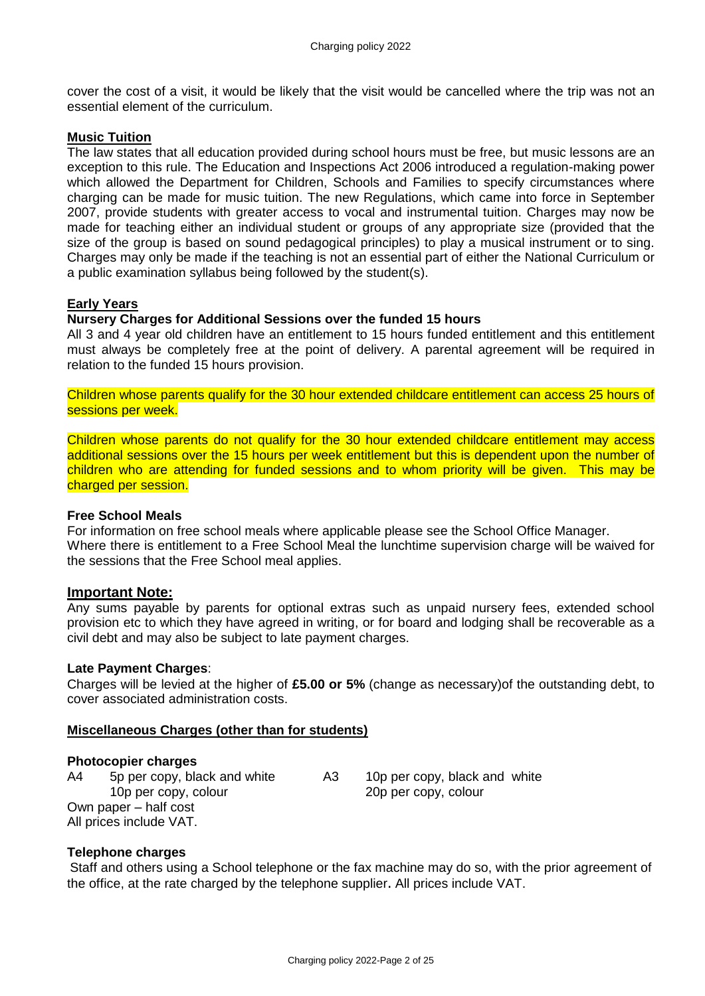cover the cost of a visit, it would be likely that the visit would be cancelled where the trip was not an essential element of the curriculum.

#### **Music Tuition**

The law states that all education provided during school hours must be free, but music lessons are an exception to this rule. The Education and Inspections Act 2006 introduced a regulation-making power which allowed the Department for Children, Schools and Families to specify circumstances where charging can be made for music tuition. The new Regulations, which came into force in September 2007, provide students with greater access to vocal and instrumental tuition. Charges may now be made for teaching either an individual student or groups of any appropriate size (provided that the size of the group is based on sound pedagogical principles) to play a musical instrument or to sing. Charges may only be made if the teaching is not an essential part of either the National Curriculum or a public examination syllabus being followed by the student(s).

### **Early Years**

#### **Nursery Charges for Additional Sessions over the funded 15 hours**

All 3 and 4 year old children have an entitlement to 15 hours funded entitlement and this entitlement must always be completely free at the point of delivery. A parental agreement will be required in relation to the funded 15 hours provision.

Children whose parents qualify for the 30 hour extended childcare entitlement can access 25 hours of sessions per week.

Children whose parents do not qualify for the 30 hour extended childcare entitlement may access additional sessions over the 15 hours per week entitlement but this is dependent upon the number of children who are attending for funded sessions and to whom priority will be given. This may be charged per session.

#### **Free School Meals**

For information on free school meals where applicable please see the School Office Manager. Where there is entitlement to a Free School Meal the lunchtime supervision charge will be waived for the sessions that the Free School meal applies.

### **Important Note:**

Any sums payable by parents for optional extras such as unpaid nursery fees, extended school provision etc to which they have agreed in writing, or for board and lodging shall be recoverable as a civil debt and may also be subject to late payment charges.

#### **Late Payment Charges**:

Charges will be levied at the higher of **£5.00 or 5%** (change as necessary)of the outstanding debt, to cover associated administration costs.

### **Miscellaneous Charges (other than for students)**

#### **Photocopier charges**

A4 5p per copy, black and white A3 10p per copy, black and white 10p per copy, colour 20p per copy, colour Own paper – half cost All prices include VAT.

### **Telephone charges**

Staff and others using a School telephone or the fax machine may do so, with the prior agreement of the office, at the rate charged by the telephone supplier. All prices include VAT.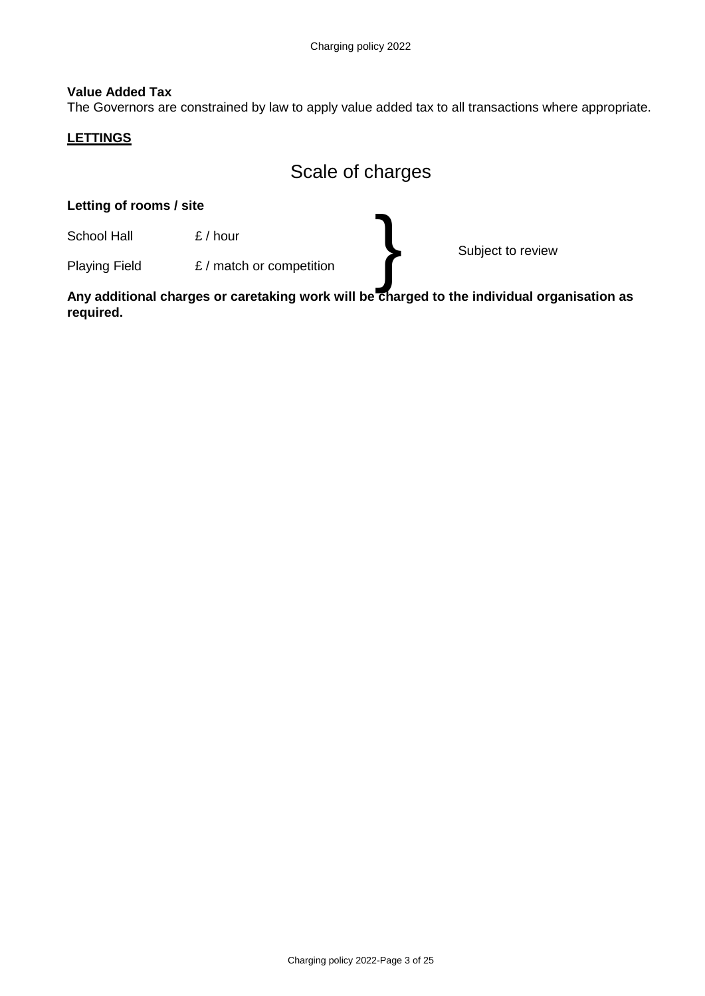### **Value Added Tax**

The Governors are constrained by law to apply value added tax to all transactions where appropriate.

#### **LETTINGS**

# Scale of charges

# **Letting of rooms / site** School Hall E / hour Subject to review Playing Field E / match or competition }

**Any additional charges or caretaking work will be charged to the individual organisation as required.**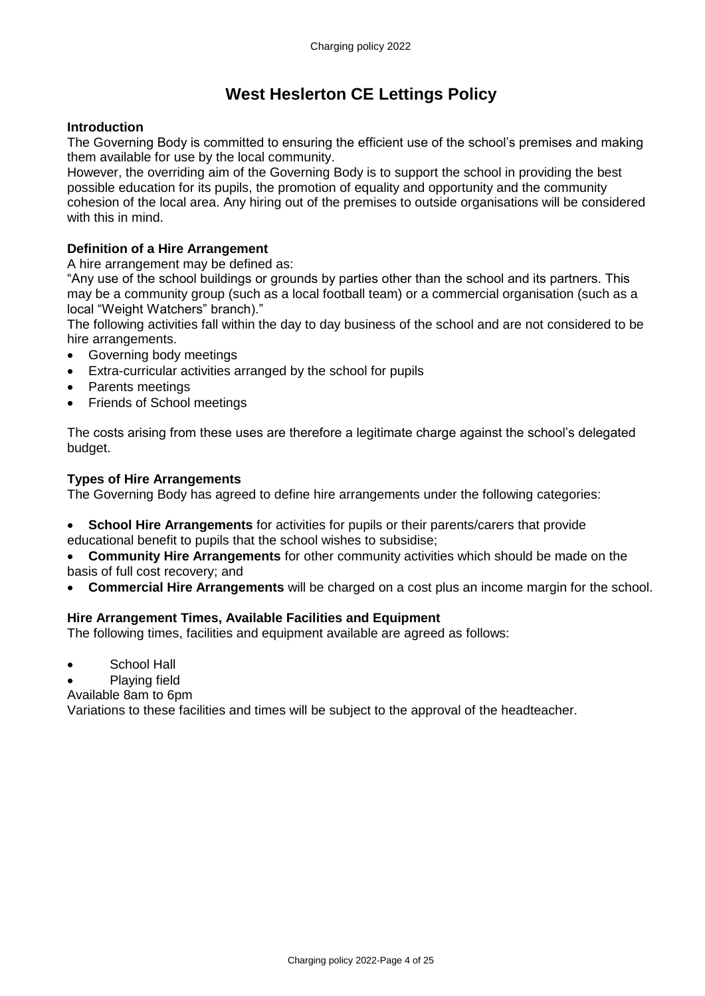# **West Heslerton CE Lettings Policy**

### **Introduction**

The Governing Body is committed to ensuring the efficient use of the school's premises and making them available for use by the local community.

However, the overriding aim of the Governing Body is to support the school in providing the best possible education for its pupils, the promotion of equality and opportunity and the community cohesion of the local area. Any hiring out of the premises to outside organisations will be considered with this in mind.

## **Definition of a Hire Arrangement**

A hire arrangement may be defined as:

"Any use of the school buildings or grounds by parties other than the school and its partners. This may be a community group (such as a local football team) or a commercial organisation (such as a local "Weight Watchers" branch)."

The following activities fall within the day to day business of the school and are not considered to be hire arrangements.

- Governing body meetings
- Extra-curricular activities arranged by the school for pupils
- Parents meetings
- Friends of School meetings

The costs arising from these uses are therefore a legitimate charge against the school's delegated budget.

### **Types of Hire Arrangements**

The Governing Body has agreed to define hire arrangements under the following categories:

• **School Hire Arrangements** for activities for pupils or their parents/carers that provide educational benefit to pupils that the school wishes to subsidise;

• **Community Hire Arrangements** for other community activities which should be made on the basis of full cost recovery; and

• **Commercial Hire Arrangements** will be charged on a cost plus an income margin for the school.

### **Hire Arrangement Times, Available Facilities and Equipment**

The following times, facilities and equipment available are agreed as follows:

- School Hall
- Plaving field

Available 8am to 6pm

Variations to these facilities and times will be subject to the approval of the headteacher.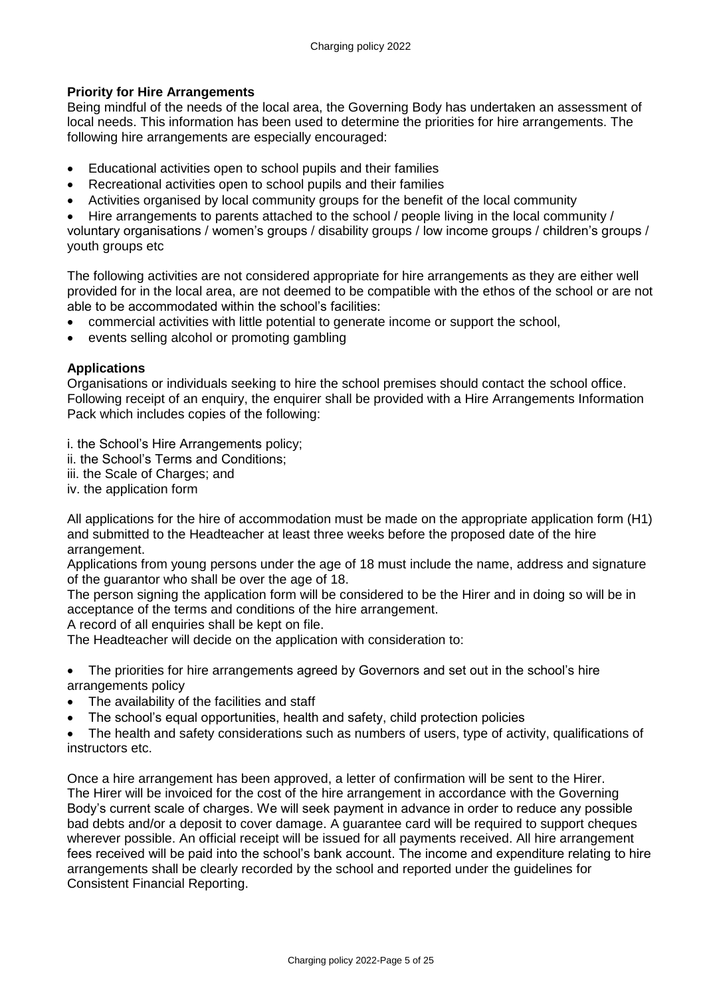## **Priority for Hire Arrangements**

Being mindful of the needs of the local area, the Governing Body has undertaken an assessment of local needs. This information has been used to determine the priorities for hire arrangements. The following hire arrangements are especially encouraged:

- Educational activities open to school pupils and their families
- Recreational activities open to school pupils and their families
- Activities organised by local community groups for the benefit of the local community

• Hire arrangements to parents attached to the school / people living in the local community / voluntary organisations / women's groups / disability groups / low income groups / children's groups / youth groups etc

The following activities are not considered appropriate for hire arrangements as they are either well provided for in the local area, are not deemed to be compatible with the ethos of the school or are not able to be accommodated within the school's facilities:

- commercial activities with little potential to generate income or support the school,
- events selling alcohol or promoting gambling

### **Applications**

Organisations or individuals seeking to hire the school premises should contact the school office. Following receipt of an enquiry, the enquirer shall be provided with a Hire Arrangements Information Pack which includes copies of the following:

i. the School's Hire Arrangements policy;

- ii. the School's Terms and Conditions;
- iii. the Scale of Charges; and
- iv. the application form

All applications for the hire of accommodation must be made on the appropriate application form (H1) and submitted to the Headteacher at least three weeks before the proposed date of the hire arrangement.

Applications from young persons under the age of 18 must include the name, address and signature of the guarantor who shall be over the age of 18.

The person signing the application form will be considered to be the Hirer and in doing so will be in acceptance of the terms and conditions of the hire arrangement.

A record of all enquiries shall be kept on file.

The Headteacher will decide on the application with consideration to:

• The priorities for hire arrangements agreed by Governors and set out in the school's hire arrangements policy

- The availability of the facilities and staff
- The school's equal opportunities, health and safety, child protection policies

• The health and safety considerations such as numbers of users, type of activity, qualifications of instructors etc.

Once a hire arrangement has been approved, a letter of confirmation will be sent to the Hirer. The Hirer will be invoiced for the cost of the hire arrangement in accordance with the Governing Body's current scale of charges. We will seek payment in advance in order to reduce any possible bad debts and/or a deposit to cover damage. A guarantee card will be required to support cheques wherever possible. An official receipt will be issued for all payments received. All hire arrangement fees received will be paid into the school's bank account. The income and expenditure relating to hire arrangements shall be clearly recorded by the school and reported under the guidelines for Consistent Financial Reporting.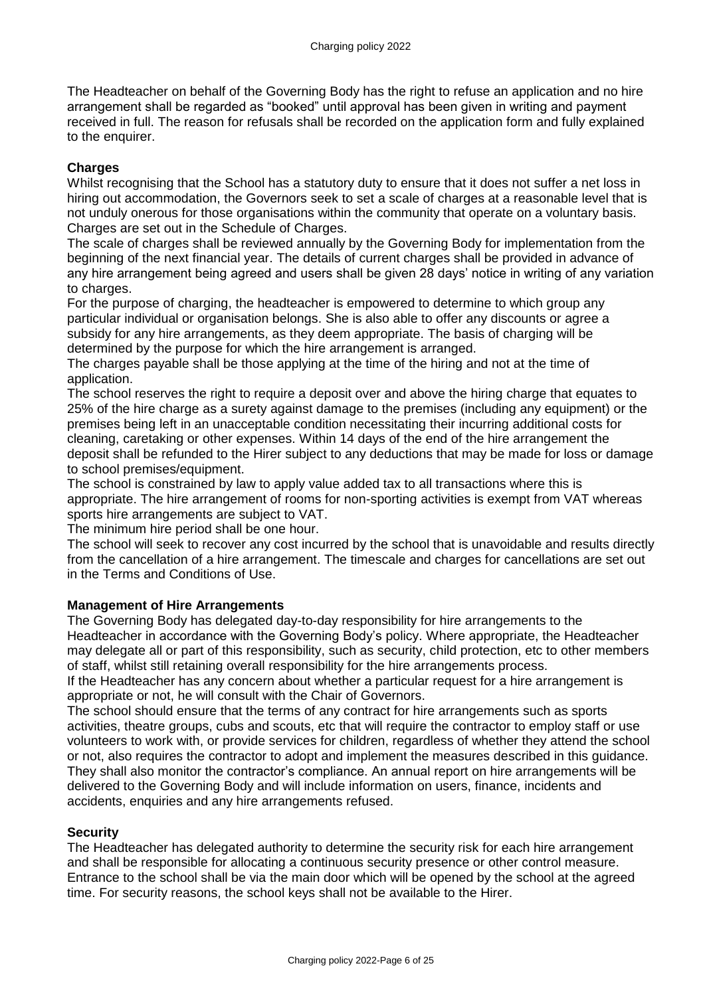The Headteacher on behalf of the Governing Body has the right to refuse an application and no hire arrangement shall be regarded as "booked" until approval has been given in writing and payment received in full. The reason for refusals shall be recorded on the application form and fully explained to the enquirer.

### **Charges**

Whilst recognising that the School has a statutory duty to ensure that it does not suffer a net loss in hiring out accommodation, the Governors seek to set a scale of charges at a reasonable level that is not unduly onerous for those organisations within the community that operate on a voluntary basis. Charges are set out in the Schedule of Charges.

The scale of charges shall be reviewed annually by the Governing Body for implementation from the beginning of the next financial year. The details of current charges shall be provided in advance of any hire arrangement being agreed and users shall be given 28 days' notice in writing of any variation to charges.

For the purpose of charging, the headteacher is empowered to determine to which group any particular individual or organisation belongs. She is also able to offer any discounts or agree a subsidy for any hire arrangements, as they deem appropriate. The basis of charging will be determined by the purpose for which the hire arrangement is arranged.

The charges payable shall be those applying at the time of the hiring and not at the time of application.

The school reserves the right to require a deposit over and above the hiring charge that equates to 25% of the hire charge as a surety against damage to the premises (including any equipment) or the premises being left in an unacceptable condition necessitating their incurring additional costs for cleaning, caretaking or other expenses. Within 14 days of the end of the hire arrangement the deposit shall be refunded to the Hirer subject to any deductions that may be made for loss or damage to school premises/equipment.

The school is constrained by law to apply value added tax to all transactions where this is appropriate. The hire arrangement of rooms for non-sporting activities is exempt from VAT whereas sports hire arrangements are subject to VAT.

The minimum hire period shall be one hour.

The school will seek to recover any cost incurred by the school that is unavoidable and results directly from the cancellation of a hire arrangement. The timescale and charges for cancellations are set out in the Terms and Conditions of Use.

### **Management of Hire Arrangements**

The Governing Body has delegated day-to-day responsibility for hire arrangements to the Headteacher in accordance with the Governing Body's policy. Where appropriate, the Headteacher may delegate all or part of this responsibility, such as security, child protection, etc to other members of staff, whilst still retaining overall responsibility for the hire arrangements process.

If the Headteacher has any concern about whether a particular request for a hire arrangement is appropriate or not, he will consult with the Chair of Governors.

The school should ensure that the terms of any contract for hire arrangements such as sports activities, theatre groups, cubs and scouts, etc that will require the contractor to employ staff or use volunteers to work with, or provide services for children, regardless of whether they attend the school or not, also requires the contractor to adopt and implement the measures described in this guidance. They shall also monitor the contractor's compliance. An annual report on hire arrangements will be delivered to the Governing Body and will include information on users, finance, incidents and accidents, enquiries and any hire arrangements refused.

### **Security**

The Headteacher has delegated authority to determine the security risk for each hire arrangement and shall be responsible for allocating a continuous security presence or other control measure. Entrance to the school shall be via the main door which will be opened by the school at the agreed time. For security reasons, the school keys shall not be available to the Hirer.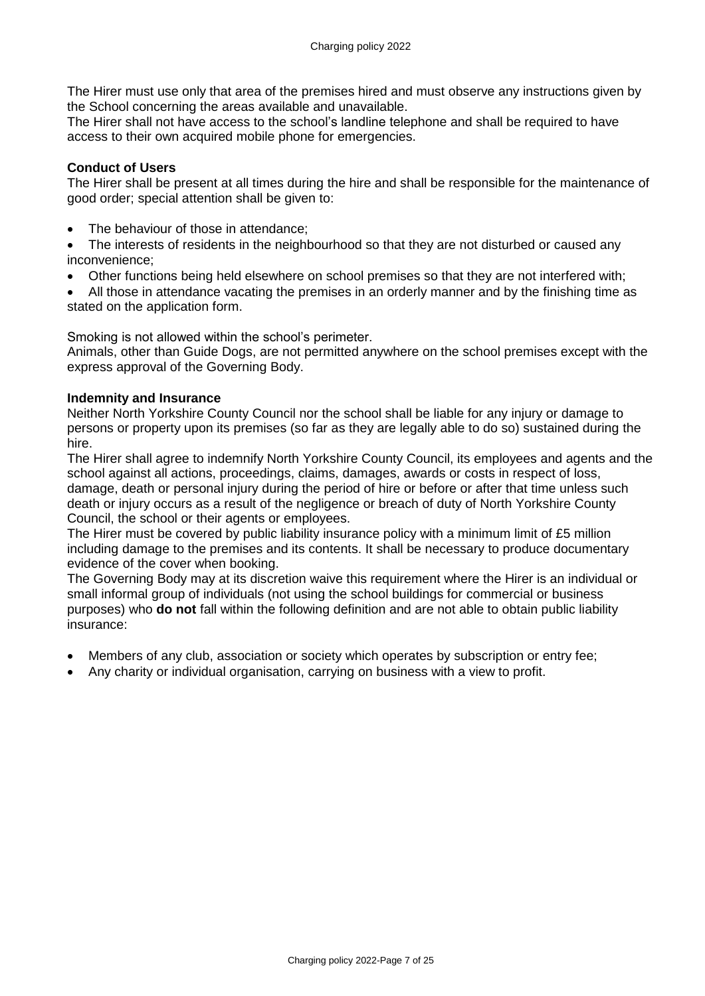The Hirer must use only that area of the premises hired and must observe any instructions given by the School concerning the areas available and unavailable.

The Hirer shall not have access to the school's landline telephone and shall be required to have access to their own acquired mobile phone for emergencies.

### **Conduct of Users**

The Hirer shall be present at all times during the hire and shall be responsible for the maintenance of good order; special attention shall be given to:

• The behaviour of those in attendance;

• The interests of residents in the neighbourhood so that they are not disturbed or caused any inconvenience;

- Other functions being held elsewhere on school premises so that they are not interfered with;
- All those in attendance vacating the premises in an orderly manner and by the finishing time as stated on the application form.

Smoking is not allowed within the school's perimeter.

Animals, other than Guide Dogs, are not permitted anywhere on the school premises except with the express approval of the Governing Body.

### **Indemnity and Insurance**

Neither North Yorkshire County Council nor the school shall be liable for any injury or damage to persons or property upon its premises (so far as they are legally able to do so) sustained during the hire.

The Hirer shall agree to indemnify North Yorkshire County Council, its employees and agents and the school against all actions, proceedings, claims, damages, awards or costs in respect of loss, damage, death or personal injury during the period of hire or before or after that time unless such death or injury occurs as a result of the negligence or breach of duty of North Yorkshire County Council, the school or their agents or employees.

The Hirer must be covered by public liability insurance policy with a minimum limit of £5 million including damage to the premises and its contents. It shall be necessary to produce documentary evidence of the cover when booking.

The Governing Body may at its discretion waive this requirement where the Hirer is an individual or small informal group of individuals (not using the school buildings for commercial or business purposes) who **do not** fall within the following definition and are not able to obtain public liability insurance:

- Members of any club, association or society which operates by subscription or entry fee;
- Any charity or individual organisation, carrying on business with a view to profit.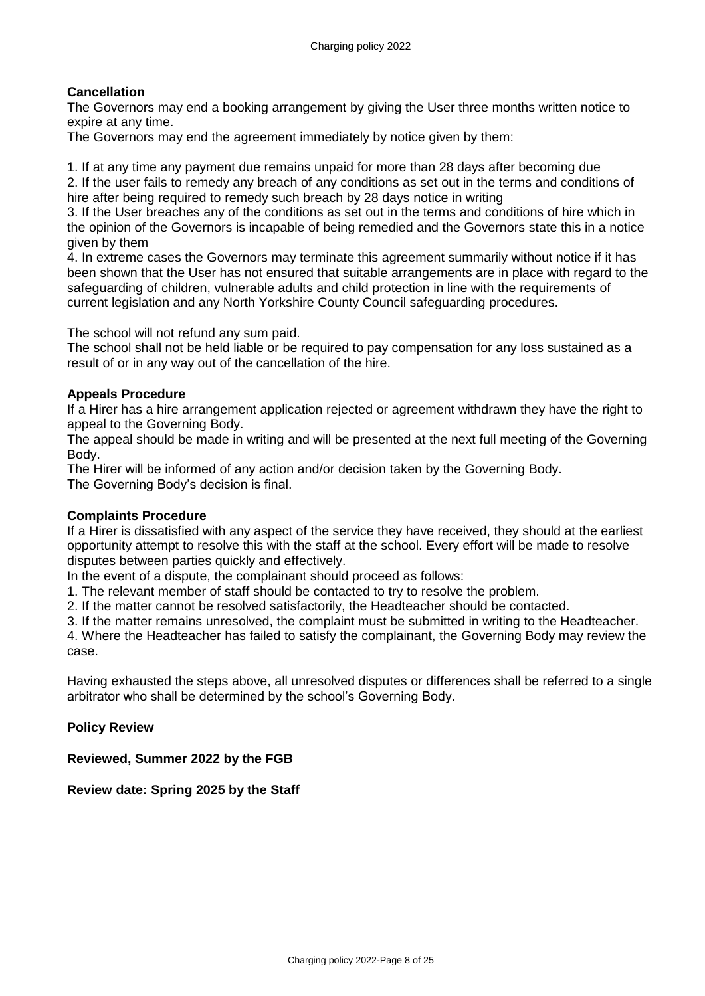## **Cancellation**

The Governors may end a booking arrangement by giving the User three months written notice to expire at any time.

The Governors may end the agreement immediately by notice given by them:

1. If at any time any payment due remains unpaid for more than 28 days after becoming due

2. If the user fails to remedy any breach of any conditions as set out in the terms and conditions of hire after being required to remedy such breach by 28 days notice in writing

3. If the User breaches any of the conditions as set out in the terms and conditions of hire which in the opinion of the Governors is incapable of being remedied and the Governors state this in a notice given by them

4. In extreme cases the Governors may terminate this agreement summarily without notice if it has been shown that the User has not ensured that suitable arrangements are in place with regard to the safeguarding of children, vulnerable adults and child protection in line with the requirements of current legislation and any North Yorkshire County Council safeguarding procedures.

The school will not refund any sum paid.

The school shall not be held liable or be required to pay compensation for any loss sustained as a result of or in any way out of the cancellation of the hire.

#### **Appeals Procedure**

If a Hirer has a hire arrangement application rejected or agreement withdrawn they have the right to appeal to the Governing Body.

The appeal should be made in writing and will be presented at the next full meeting of the Governing Body.

The Hirer will be informed of any action and/or decision taken by the Governing Body. The Governing Body's decision is final.

### **Complaints Procedure**

If a Hirer is dissatisfied with any aspect of the service they have received, they should at the earliest opportunity attempt to resolve this with the staff at the school. Every effort will be made to resolve disputes between parties quickly and effectively.

In the event of a dispute, the complainant should proceed as follows:

1. The relevant member of staff should be contacted to try to resolve the problem.

2. If the matter cannot be resolved satisfactorily, the Headteacher should be contacted.

3. If the matter remains unresolved, the complaint must be submitted in writing to the Headteacher.

4. Where the Headteacher has failed to satisfy the complainant, the Governing Body may review the case.

Having exhausted the steps above, all unresolved disputes or differences shall be referred to a single arbitrator who shall be determined by the school's Governing Body.

### **Policy Review**

**Reviewed, Summer 2022 by the FGB**

**Review date: Spring 2025 by the Staff**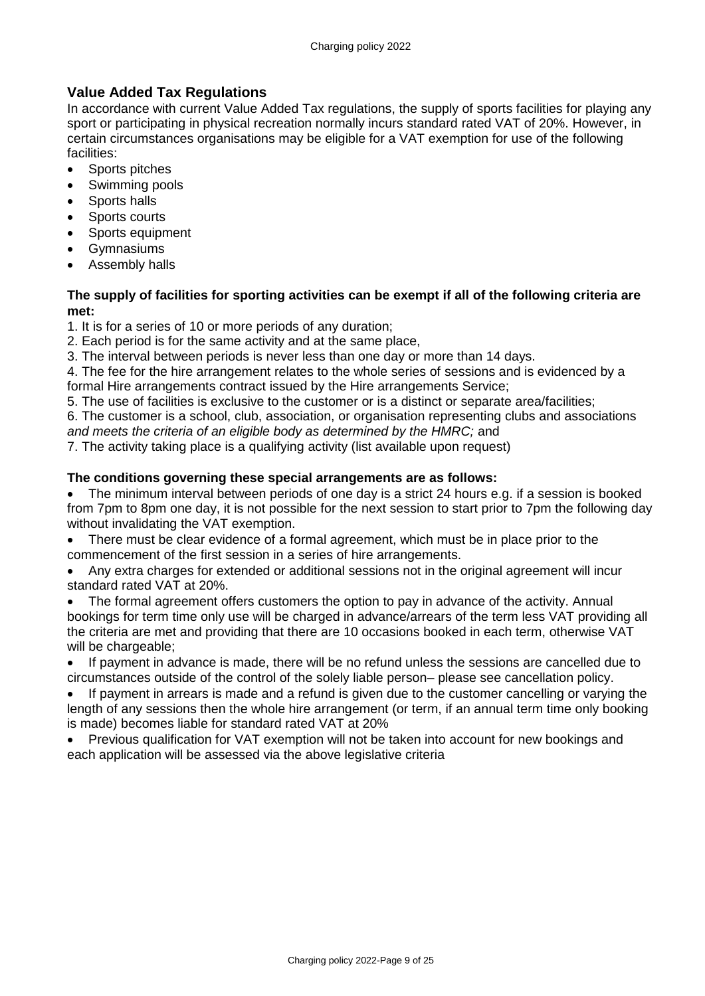# **Value Added Tax Regulations**

In accordance with current Value Added Tax regulations, the supply of sports facilities for playing any sport or participating in physical recreation normally incurs standard rated VAT of 20%. However, in certain circumstances organisations may be eligible for a VAT exemption for use of the following facilities:

- Sports pitches
- Swimming pools
- Sports halls
- Sports courts
- Sports equipment
- Gymnasiums
- Assembly halls

### **The supply of facilities for sporting activities can be exempt if all of the following criteria are met:**

1. It is for a series of 10 or more periods of any duration;

2. Each period is for the same activity and at the same place,

3. The interval between periods is never less than one day or more than 14 days.

4. The fee for the hire arrangement relates to the whole series of sessions and is evidenced by a formal Hire arrangements contract issued by the Hire arrangements Service;

5. The use of facilities is exclusive to the customer or is a distinct or separate area/facilities;

6. The customer is a school, club, association, or organisation representing clubs and associations *and meets the criteria of an eligible body as determined by the HMRC;* and

7. The activity taking place is a qualifying activity (list available upon request)

### **The conditions governing these special arrangements are as follows:**

• The minimum interval between periods of one day is a strict 24 hours e.g. if a session is booked from 7pm to 8pm one day, it is not possible for the next session to start prior to 7pm the following day without invalidating the VAT exemption.

• There must be clear evidence of a formal agreement, which must be in place prior to the commencement of the first session in a series of hire arrangements.

• Any extra charges for extended or additional sessions not in the original agreement will incur standard rated VAT at 20%.

The formal agreement offers customers the option to pay in advance of the activity. Annual bookings for term time only use will be charged in advance/arrears of the term less VAT providing all the criteria are met and providing that there are 10 occasions booked in each term, otherwise VAT will be chargeable:

• If payment in advance is made, there will be no refund unless the sessions are cancelled due to circumstances outside of the control of the solely liable person– please see cancellation policy.

If payment in arrears is made and a refund is given due to the customer cancelling or varying the length of any sessions then the whole hire arrangement (or term, if an annual term time only booking is made) becomes liable for standard rated VAT at 20%

• Previous qualification for VAT exemption will not be taken into account for new bookings and each application will be assessed via the above legislative criteria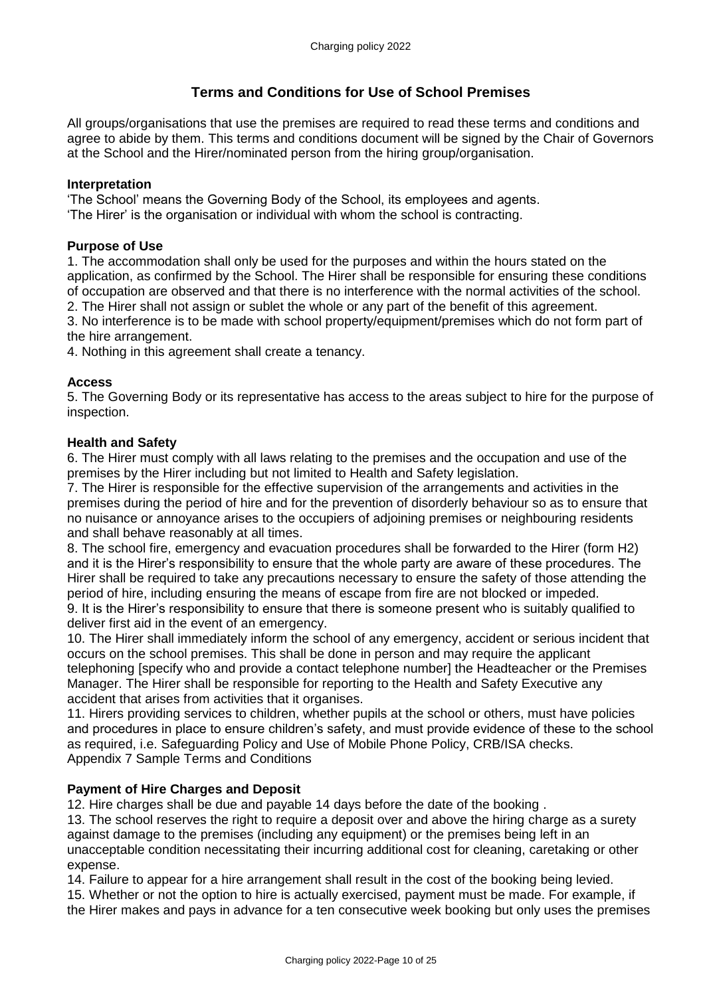# **Terms and Conditions for Use of School Premises**

All groups/organisations that use the premises are required to read these terms and conditions and agree to abide by them. This terms and conditions document will be signed by the Chair of Governors at the School and the Hirer/nominated person from the hiring group/organisation.

#### **Interpretation**

'The School' means the Governing Body of the School, its employees and agents.

'The Hirer' is the organisation or individual with whom the school is contracting.

#### **Purpose of Use**

1. The accommodation shall only be used for the purposes and within the hours stated on the application, as confirmed by the School. The Hirer shall be responsible for ensuring these conditions of occupation are observed and that there is no interference with the normal activities of the school.

2. The Hirer shall not assign or sublet the whole or any part of the benefit of this agreement. 3. No interference is to be made with school property/equipment/premises which do not form part of

the hire arrangement.

4. Nothing in this agreement shall create a tenancy.

#### **Access**

5. The Governing Body or its representative has access to the areas subject to hire for the purpose of inspection.

#### **Health and Safety**

6. The Hirer must comply with all laws relating to the premises and the occupation and use of the premises by the Hirer including but not limited to Health and Safety legislation.

7. The Hirer is responsible for the effective supervision of the arrangements and activities in the premises during the period of hire and for the prevention of disorderly behaviour so as to ensure that no nuisance or annoyance arises to the occupiers of adjoining premises or neighbouring residents and shall behave reasonably at all times.

8. The school fire, emergency and evacuation procedures shall be forwarded to the Hirer (form H2) and it is the Hirer's responsibility to ensure that the whole party are aware of these procedures. The Hirer shall be required to take any precautions necessary to ensure the safety of those attending the period of hire, including ensuring the means of escape from fire are not blocked or impeded.

9. It is the Hirer's responsibility to ensure that there is someone present who is suitably qualified to deliver first aid in the event of an emergency.

10. The Hirer shall immediately inform the school of any emergency, accident or serious incident that occurs on the school premises. This shall be done in person and may require the applicant telephoning [specify who and provide a contact telephone number] the Headteacher or the Premises Manager. The Hirer shall be responsible for reporting to the Health and Safety Executive any accident that arises from activities that it organises.

11. Hirers providing services to children, whether pupils at the school or others, must have policies and procedures in place to ensure children's safety, and must provide evidence of these to the school as required, i.e. Safeguarding Policy and Use of Mobile Phone Policy, CRB/ISA checks. Appendix 7 Sample Terms and Conditions

### **Payment of Hire Charges and Deposit**

12. Hire charges shall be due and payable 14 days before the date of the booking .

13. The school reserves the right to require a deposit over and above the hiring charge as a surety against damage to the premises (including any equipment) or the premises being left in an unacceptable condition necessitating their incurring additional cost for cleaning, caretaking or other expense.

14. Failure to appear for a hire arrangement shall result in the cost of the booking being levied.

15. Whether or not the option to hire is actually exercised, payment must be made. For example, if the Hirer makes and pays in advance for a ten consecutive week booking but only uses the premises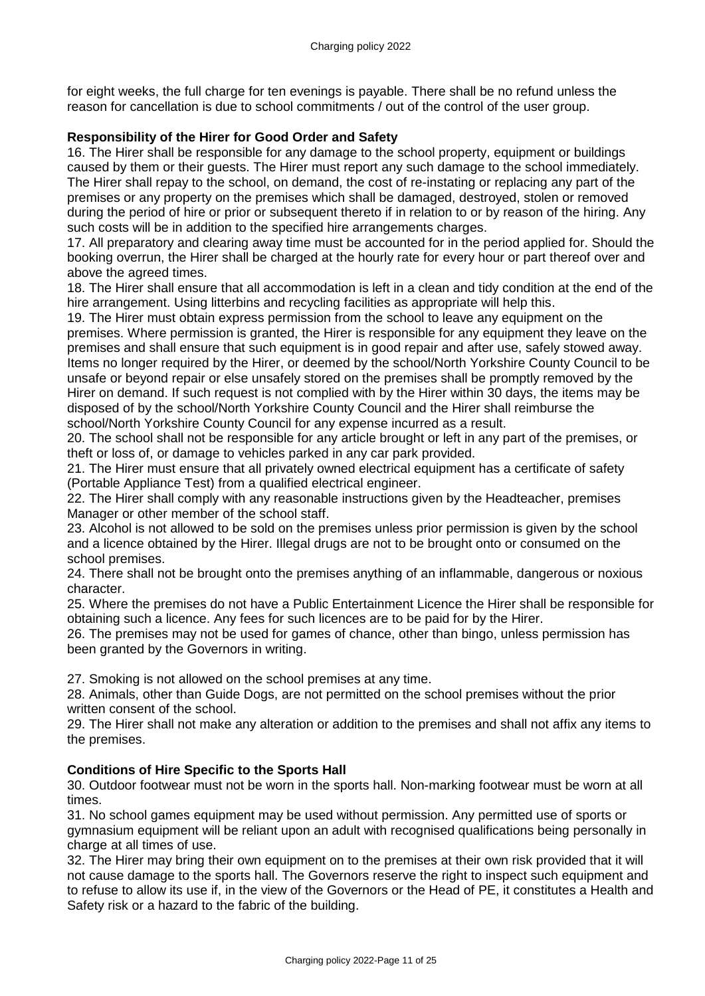for eight weeks, the full charge for ten evenings is payable. There shall be no refund unless the reason for cancellation is due to school commitments / out of the control of the user group.

### **Responsibility of the Hirer for Good Order and Safety**

16. The Hirer shall be responsible for any damage to the school property, equipment or buildings caused by them or their guests. The Hirer must report any such damage to the school immediately. The Hirer shall repay to the school, on demand, the cost of re-instating or replacing any part of the premises or any property on the premises which shall be damaged, destroyed, stolen or removed during the period of hire or prior or subsequent thereto if in relation to or by reason of the hiring. Any such costs will be in addition to the specified hire arrangements charges.

17. All preparatory and clearing away time must be accounted for in the period applied for. Should the booking overrun, the Hirer shall be charged at the hourly rate for every hour or part thereof over and above the agreed times.

18. The Hirer shall ensure that all accommodation is left in a clean and tidy condition at the end of the hire arrangement. Using litterbins and recycling facilities as appropriate will help this.

19. The Hirer must obtain express permission from the school to leave any equipment on the premises. Where permission is granted, the Hirer is responsible for any equipment they leave on the premises and shall ensure that such equipment is in good repair and after use, safely stowed away. Items no longer required by the Hirer, or deemed by the school/North Yorkshire County Council to be unsafe or beyond repair or else unsafely stored on the premises shall be promptly removed by the Hirer on demand. If such request is not complied with by the Hirer within 30 days, the items may be disposed of by the school/North Yorkshire County Council and the Hirer shall reimburse the school/North Yorkshire County Council for any expense incurred as a result.

20. The school shall not be responsible for any article brought or left in any part of the premises, or theft or loss of, or damage to vehicles parked in any car park provided.

21. The Hirer must ensure that all privately owned electrical equipment has a certificate of safety (Portable Appliance Test) from a qualified electrical engineer.

22. The Hirer shall comply with any reasonable instructions given by the Headteacher, premises Manager or other member of the school staff.

23. Alcohol is not allowed to be sold on the premises unless prior permission is given by the school and a licence obtained by the Hirer. Illegal drugs are not to be brought onto or consumed on the school premises.

24. There shall not be brought onto the premises anything of an inflammable, dangerous or noxious character.

25. Where the premises do not have a Public Entertainment Licence the Hirer shall be responsible for obtaining such a licence. Any fees for such licences are to be paid for by the Hirer.

26. The premises may not be used for games of chance, other than bingo, unless permission has been granted by the Governors in writing.

27. Smoking is not allowed on the school premises at any time.

28. Animals, other than Guide Dogs, are not permitted on the school premises without the prior written consent of the school.

29. The Hirer shall not make any alteration or addition to the premises and shall not affix any items to the premises.

### **Conditions of Hire Specific to the Sports Hall**

30. Outdoor footwear must not be worn in the sports hall. Non-marking footwear must be worn at all times.

31. No school games equipment may be used without permission. Any permitted use of sports or gymnasium equipment will be reliant upon an adult with recognised qualifications being personally in charge at all times of use.

32. The Hirer may bring their own equipment on to the premises at their own risk provided that it will not cause damage to the sports hall. The Governors reserve the right to inspect such equipment and to refuse to allow its use if, in the view of the Governors or the Head of PE, it constitutes a Health and Safety risk or a hazard to the fabric of the building.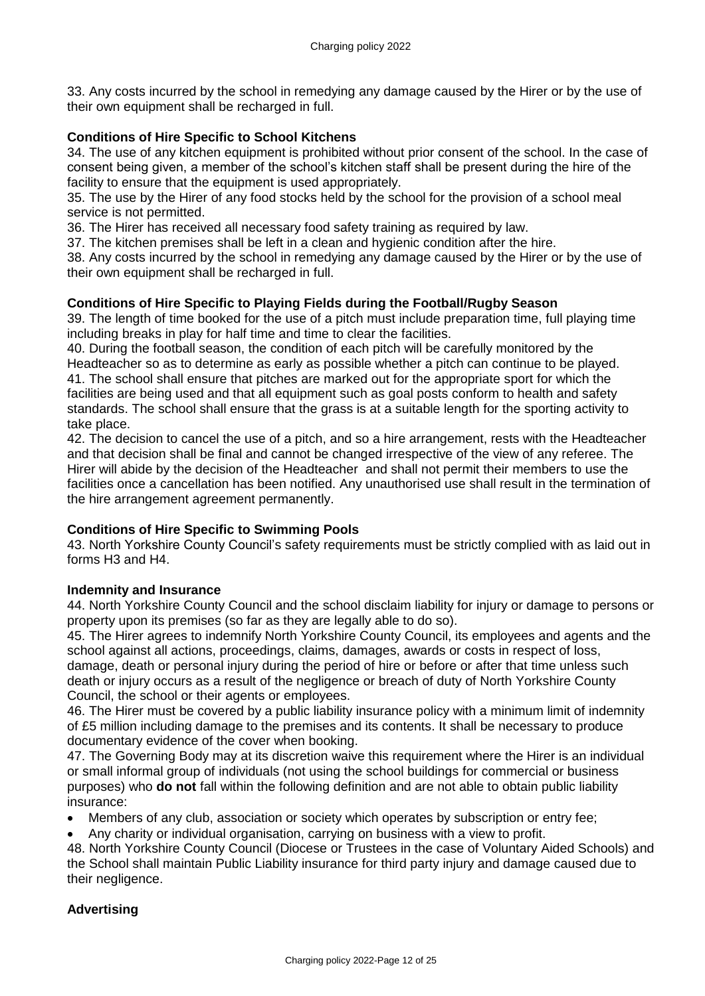33. Any costs incurred by the school in remedying any damage caused by the Hirer or by the use of their own equipment shall be recharged in full.

### **Conditions of Hire Specific to School Kitchens**

34. The use of any kitchen equipment is prohibited without prior consent of the school. In the case of consent being given, a member of the school's kitchen staff shall be present during the hire of the facility to ensure that the equipment is used appropriately.

35. The use by the Hirer of any food stocks held by the school for the provision of a school meal service is not permitted.

36. The Hirer has received all necessary food safety training as required by law.

37. The kitchen premises shall be left in a clean and hygienic condition after the hire.

38. Any costs incurred by the school in remedying any damage caused by the Hirer or by the use of their own equipment shall be recharged in full.

#### **Conditions of Hire Specific to Playing Fields during the Football/Rugby Season**

39. The length of time booked for the use of a pitch must include preparation time, full playing time including breaks in play for half time and time to clear the facilities.

40. During the football season, the condition of each pitch will be carefully monitored by the Headteacher so as to determine as early as possible whether a pitch can continue to be played. 41. The school shall ensure that pitches are marked out for the appropriate sport for which the facilities are being used and that all equipment such as goal posts conform to health and safety standards. The school shall ensure that the grass is at a suitable length for the sporting activity to take place.

42. The decision to cancel the use of a pitch, and so a hire arrangement, rests with the Headteacher and that decision shall be final and cannot be changed irrespective of the view of any referee. The Hirer will abide by the decision of the Headteacher and shall not permit their members to use the facilities once a cancellation has been notified. Any unauthorised use shall result in the termination of the hire arrangement agreement permanently.

### **Conditions of Hire Specific to Swimming Pools**

43. North Yorkshire County Council's safety requirements must be strictly complied with as laid out in forms H3 and H4.

### **Indemnity and Insurance**

44. North Yorkshire County Council and the school disclaim liability for injury or damage to persons or property upon its premises (so far as they are legally able to do so).

45. The Hirer agrees to indemnify North Yorkshire County Council, its employees and agents and the school against all actions, proceedings, claims, damages, awards or costs in respect of loss, damage, death or personal injury during the period of hire or before or after that time unless such death or injury occurs as a result of the negligence or breach of duty of North Yorkshire County Council, the school or their agents or employees.

46. The Hirer must be covered by a public liability insurance policy with a minimum limit of indemnity of £5 million including damage to the premises and its contents. It shall be necessary to produce documentary evidence of the cover when booking.

47. The Governing Body may at its discretion waive this requirement where the Hirer is an individual or small informal group of individuals (not using the school buildings for commercial or business purposes) who **do not** fall within the following definition and are not able to obtain public liability insurance:

- Members of any club, association or society which operates by subscription or entry fee;
- Any charity or individual organisation, carrying on business with a view to profit.

48. North Yorkshire County Council (Diocese or Trustees in the case of Voluntary Aided Schools) and the School shall maintain Public Liability insurance for third party injury and damage caused due to their negligence.

#### **Advertising**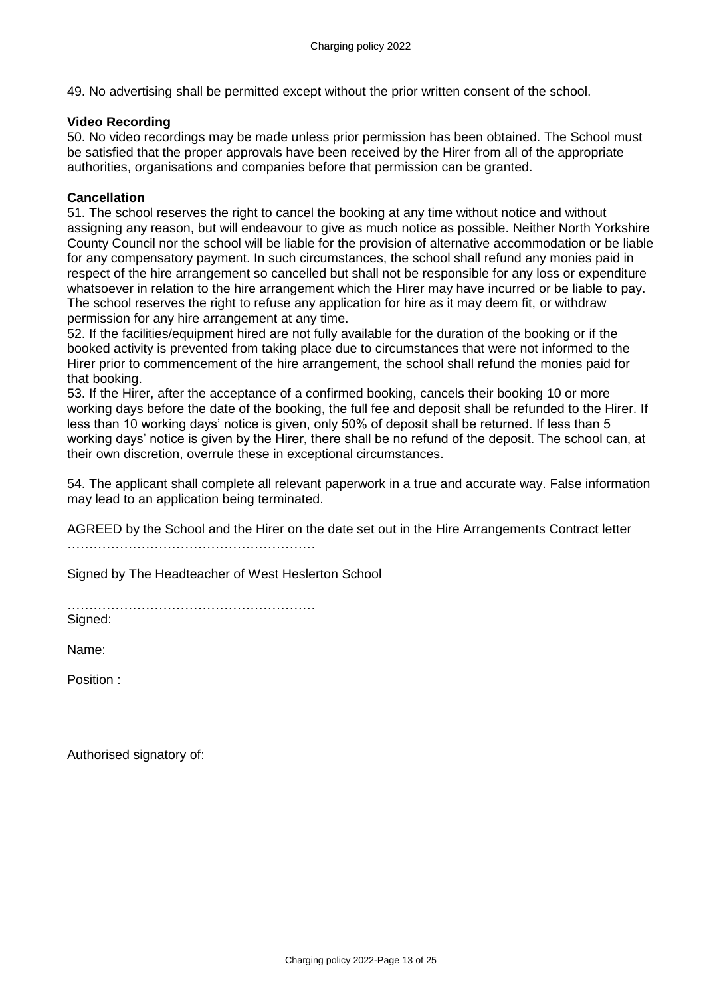49. No advertising shall be permitted except without the prior written consent of the school.

### **Video Recording**

50. No video recordings may be made unless prior permission has been obtained. The School must be satisfied that the proper approvals have been received by the Hirer from all of the appropriate authorities, organisations and companies before that permission can be granted.

#### **Cancellation**

51. The school reserves the right to cancel the booking at any time without notice and without assigning any reason, but will endeavour to give as much notice as possible. Neither North Yorkshire County Council nor the school will be liable for the provision of alternative accommodation or be liable for any compensatory payment. In such circumstances, the school shall refund any monies paid in respect of the hire arrangement so cancelled but shall not be responsible for any loss or expenditure whatsoever in relation to the hire arrangement which the Hirer may have incurred or be liable to pay. The school reserves the right to refuse any application for hire as it may deem fit, or withdraw permission for any hire arrangement at any time.

52. If the facilities/equipment hired are not fully available for the duration of the booking or if the booked activity is prevented from taking place due to circumstances that were not informed to the Hirer prior to commencement of the hire arrangement, the school shall refund the monies paid for that booking.

53. If the Hirer, after the acceptance of a confirmed booking, cancels their booking 10 or more working days before the date of the booking, the full fee and deposit shall be refunded to the Hirer. If less than 10 working days' notice is given, only 50% of deposit shall be returned. If less than 5 working days' notice is given by the Hirer, there shall be no refund of the deposit. The school can, at their own discretion, overrule these in exceptional circumstances.

54. The applicant shall complete all relevant paperwork in a true and accurate way. False information may lead to an application being terminated.

AGREED by the School and the Hirer on the date set out in the Hire Arrangements Contract letter …………………………………………………

Signed by The Headteacher of West Heslerton School

…………………………………………………

Signed:

Name:

Position :

Authorised signatory of: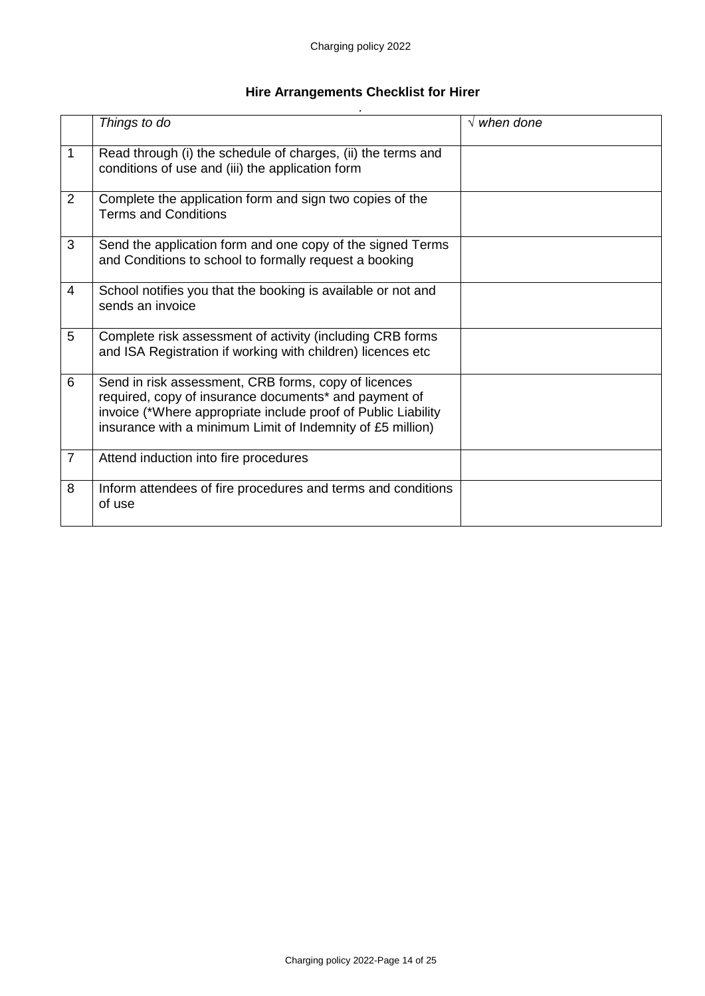#### **Hire Arrangements Checklist for Hirer** *.*

|                | Things to do                                                                                                                                                                                                                                 | $\sqrt{ }$ when done |
|----------------|----------------------------------------------------------------------------------------------------------------------------------------------------------------------------------------------------------------------------------------------|----------------------|
| 1              | Read through (i) the schedule of charges, (ii) the terms and<br>conditions of use and (iii) the application form                                                                                                                             |                      |
| 2              | Complete the application form and sign two copies of the<br><b>Terms and Conditions</b>                                                                                                                                                      |                      |
| 3              | Send the application form and one copy of the signed Terms<br>and Conditions to school to formally request a booking                                                                                                                         |                      |
| $\overline{4}$ | School notifies you that the booking is available or not and<br>sends an invoice                                                                                                                                                             |                      |
| 5              | Complete risk assessment of activity (including CRB forms<br>and ISA Registration if working with children) licences etc                                                                                                                     |                      |
| 6              | Send in risk assessment, CRB forms, copy of licences<br>required, copy of insurance documents* and payment of<br>invoice (*Where appropriate include proof of Public Liability<br>insurance with a minimum Limit of Indemnity of £5 million) |                      |
| $\overline{7}$ | Attend induction into fire procedures                                                                                                                                                                                                        |                      |
| 8              | Inform attendees of fire procedures and terms and conditions<br>of use                                                                                                                                                                       |                      |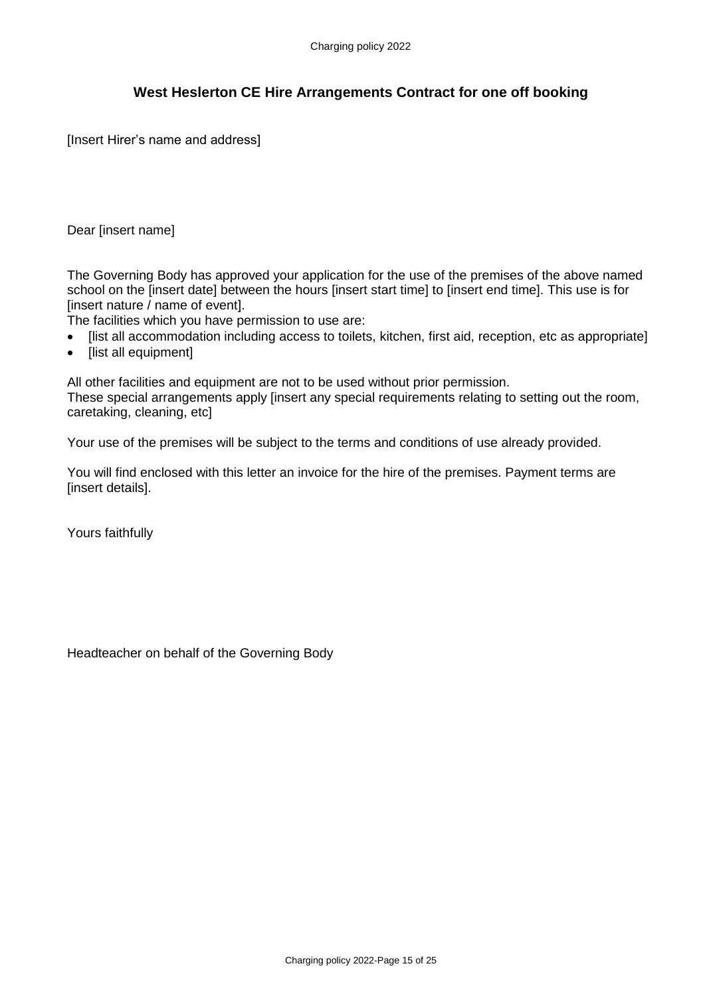# **West Heslerton CE Hire Arrangements Contract for one off booking**

[Insert Hirer's name and address]

Dear [insert name]

The Governing Body has approved your application for the use of the premises of the above named school on the [insert date] between the hours [insert start time] to [insert end time]. This use is for  $I$ insert nature / name of eventl.

The facilities which you have permission to use are:

- [list all accommodation including access to toilets, kitchen, first aid, reception, etc as appropriate]
- [list all equipment]

All other facilities and equipment are not to be used without prior permission.

These special arrangements apply [insert any special requirements relating to setting out the room, caretaking, cleaning, etc]

Your use of the premises will be subject to the terms and conditions of use already provided.

You will find enclosed with this letter an invoice for the hire of the premises. Payment terms are [insert details].

Yours faithfully

Headteacher on behalf of the Governing Body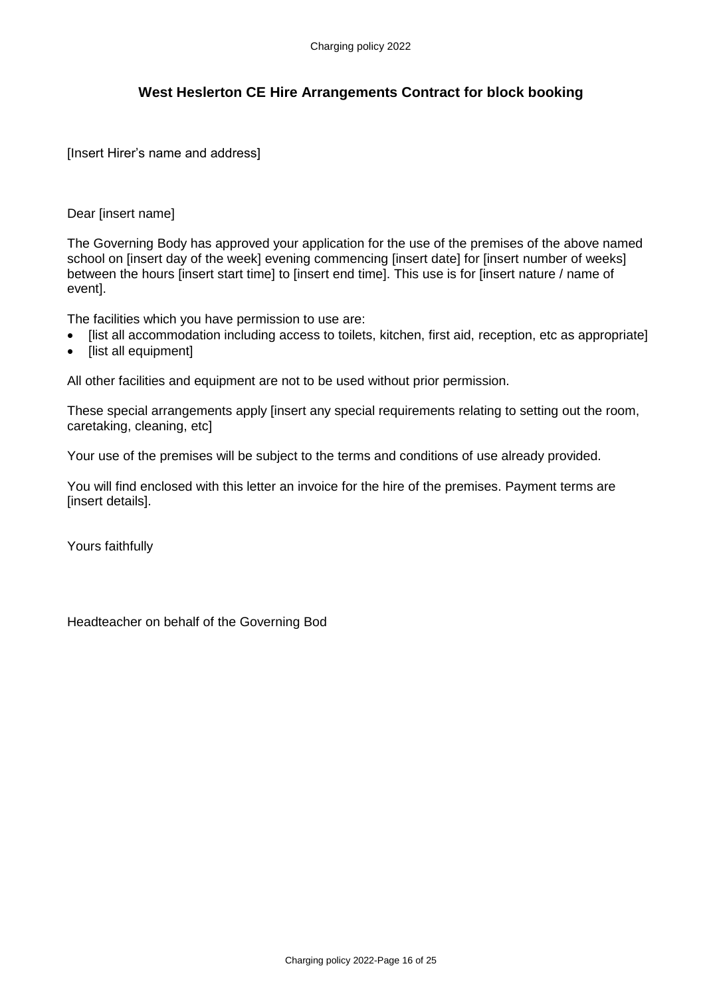# **West Heslerton CE Hire Arrangements Contract for block booking**

[Insert Hirer's name and address]

#### Dear [insert name]

The Governing Body has approved your application for the use of the premises of the above named school on [insert day of the week] evening commencing [insert date] for [insert number of weeks] between the hours [insert start time] to [insert end time]. This use is for [insert nature / name of event].

The facilities which you have permission to use are:

- Ilist all accommodation including access to toilets, kitchen, first aid, reception, etc as appropriate]
- [list all equipment]

All other facilities and equipment are not to be used without prior permission.

These special arrangements apply [insert any special requirements relating to setting out the room, caretaking, cleaning, etc]

Your use of the premises will be subject to the terms and conditions of use already provided.

You will find enclosed with this letter an invoice for the hire of the premises. Payment terms are *<u>Iinsert</u>* detailsl.

Yours faithfully

Headteacher on behalf of the Governing Bod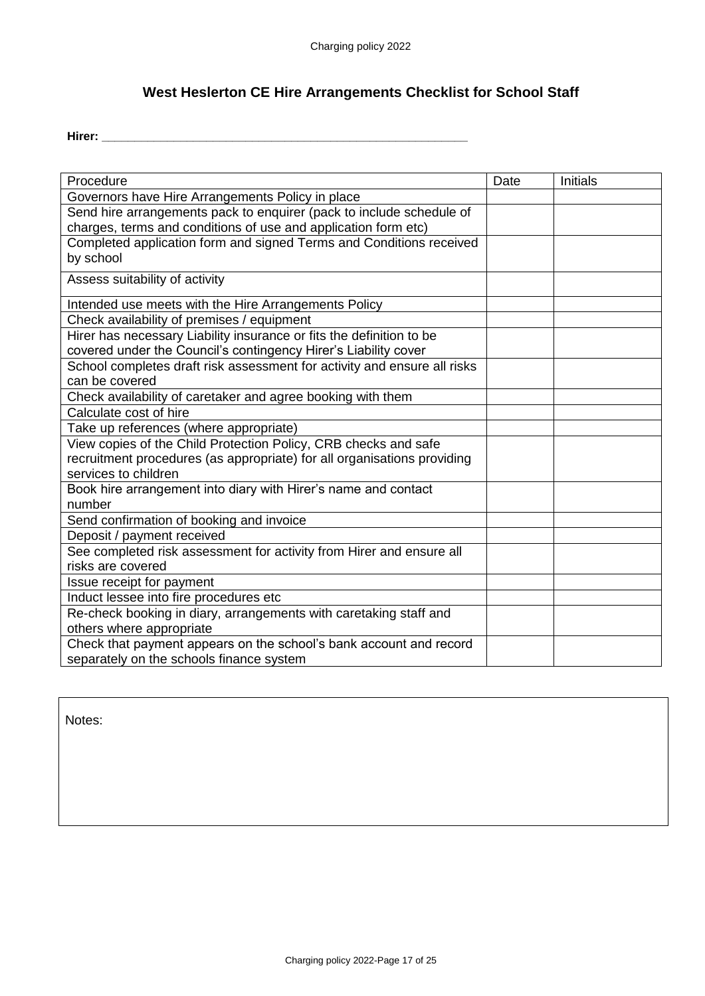# **West Heslerton CE Hire Arrangements Checklist for School Staff**

**Hirer: \_\_\_\_\_\_\_\_\_\_\_\_\_\_\_\_\_\_\_\_\_\_\_\_\_\_\_\_\_\_\_\_\_\_\_\_\_\_\_\_\_\_\_\_\_\_\_\_\_\_\_\_\_\_\_\_**

| Procedure                                                                                                                               | Date | Initials |
|-----------------------------------------------------------------------------------------------------------------------------------------|------|----------|
| Governors have Hire Arrangements Policy in place                                                                                        |      |          |
| Send hire arrangements pack to enquirer (pack to include schedule of<br>charges, terms and conditions of use and application form etc)  |      |          |
| Completed application form and signed Terms and Conditions received<br>by school                                                        |      |          |
| Assess suitability of activity                                                                                                          |      |          |
| Intended use meets with the Hire Arrangements Policy                                                                                    |      |          |
| Check availability of premises / equipment                                                                                              |      |          |
| Hirer has necessary Liability insurance or fits the definition to be<br>covered under the Council's contingency Hirer's Liability cover |      |          |
| School completes draft risk assessment for activity and ensure all risks<br>can be covered                                              |      |          |
| Check availability of caretaker and agree booking with them                                                                             |      |          |
| Calculate cost of hire                                                                                                                  |      |          |
| Take up references (where appropriate)                                                                                                  |      |          |
| View copies of the Child Protection Policy, CRB checks and safe                                                                         |      |          |
| recruitment procedures (as appropriate) for all organisations providing<br>services to children                                         |      |          |
| Book hire arrangement into diary with Hirer's name and contact<br>number                                                                |      |          |
| Send confirmation of booking and invoice                                                                                                |      |          |
| Deposit / payment received                                                                                                              |      |          |
| See completed risk assessment for activity from Hirer and ensure all                                                                    |      |          |
| risks are covered                                                                                                                       |      |          |
| Issue receipt for payment                                                                                                               |      |          |
| Induct lessee into fire procedures etc                                                                                                  |      |          |
| Re-check booking in diary, arrangements with caretaking staff and                                                                       |      |          |
| others where appropriate                                                                                                                |      |          |
| Check that payment appears on the school's bank account and record                                                                      |      |          |
| separately on the schools finance system                                                                                                |      |          |

Notes: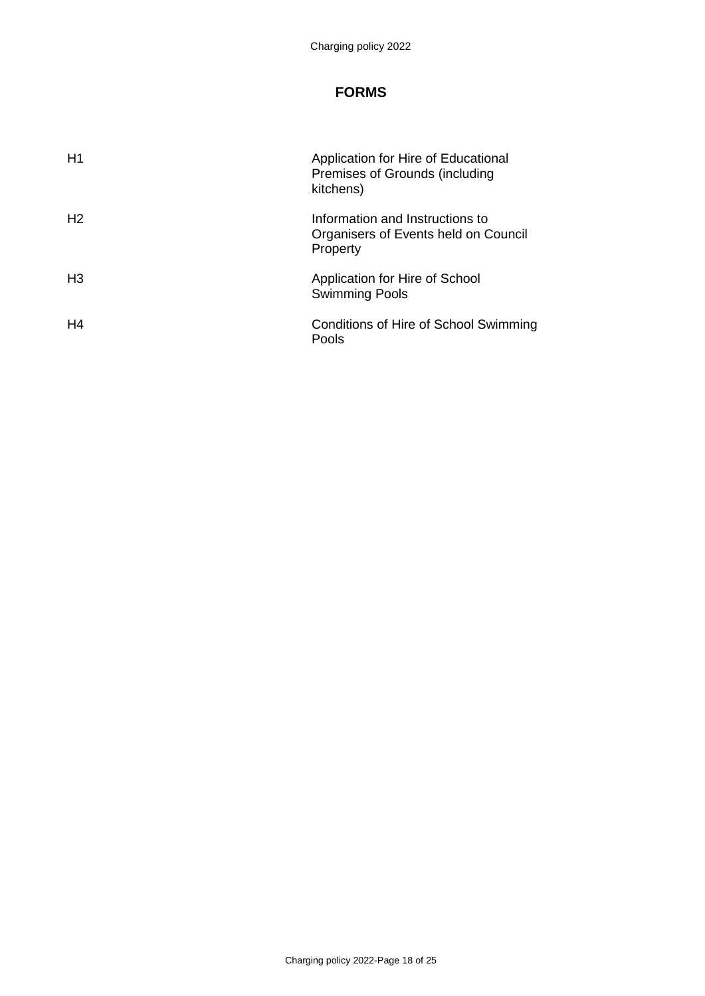# **FORMS**

| H1             | Application for Hire of Educational<br>Premises of Grounds (including<br>kitchens)  |
|----------------|-------------------------------------------------------------------------------------|
| H <sub>2</sub> | Information and Instructions to<br>Organisers of Events held on Council<br>Property |
| H <sub>3</sub> | Application for Hire of School<br><b>Swimming Pools</b>                             |
| H4             | Conditions of Hire of School Swimming<br>Pools                                      |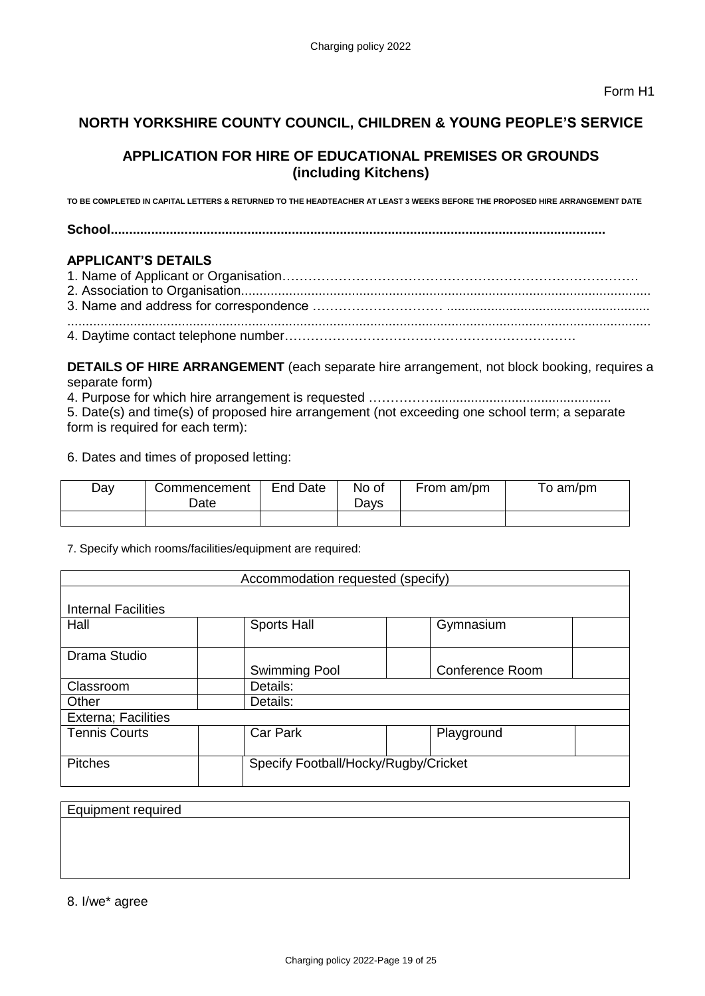# **NORTH YORKSHIRE COUNTY COUNCIL, CHILDREN & YOUNG PEOPLE'S SERVICE**

# **APPLICATION FOR HIRE OF EDUCATIONAL PREMISES OR GROUNDS (including Kitchens)**

**TO BE COMPLETED IN CAPITAL LETTERS & RETURNED TO THE HEADTEACHER AT LEAST 3 WEEKS BEFORE THE PROPOSED HIRE ARRANGEMENT DATE** 

**School......................................................................................................................................** 

### **APPLICANT'S DETAILS**

**DETAILS OF HIRE ARRANGEMENT** (each separate hire arrangement, not block booking, requires a separate form)

4. Purpose for which hire arrangement is requested ……………................................................ 5. Date(s) and time(s) of proposed hire arrangement (not exceeding one school term; a separate form is required for each term):

6. Dates and times of proposed letting:

| Day | Commencement<br>Date. | End Date | No of<br>שa∨s | From am/pm | To am/pm |
|-----|-----------------------|----------|---------------|------------|----------|
|     |                       |          |               |            |          |

7. Specify which rooms/facilities/equipment are required:

| Accommodation requested (specify) |                                      |                 |  |  |  |  |
|-----------------------------------|--------------------------------------|-----------------|--|--|--|--|
|                                   |                                      |                 |  |  |  |  |
| <b>Internal Facilities</b>        |                                      |                 |  |  |  |  |
| Hall                              | <b>Sports Hall</b>                   | Gymnasium       |  |  |  |  |
|                                   |                                      |                 |  |  |  |  |
| Drama Studio                      |                                      |                 |  |  |  |  |
|                                   | Swimming Pool                        | Conference Room |  |  |  |  |
| Classroom                         | Details:                             |                 |  |  |  |  |
| Other                             | Details:                             |                 |  |  |  |  |
| <b>Externa</b> ; Facilities       |                                      |                 |  |  |  |  |
| <b>Tennis Courts</b>              | Car Park<br>Playground               |                 |  |  |  |  |
|                                   |                                      |                 |  |  |  |  |
| <b>Pitches</b>                    | Specify Football/Hocky/Rugby/Cricket |                 |  |  |  |  |
|                                   |                                      |                 |  |  |  |  |

Equipment required

8. I/we\* agree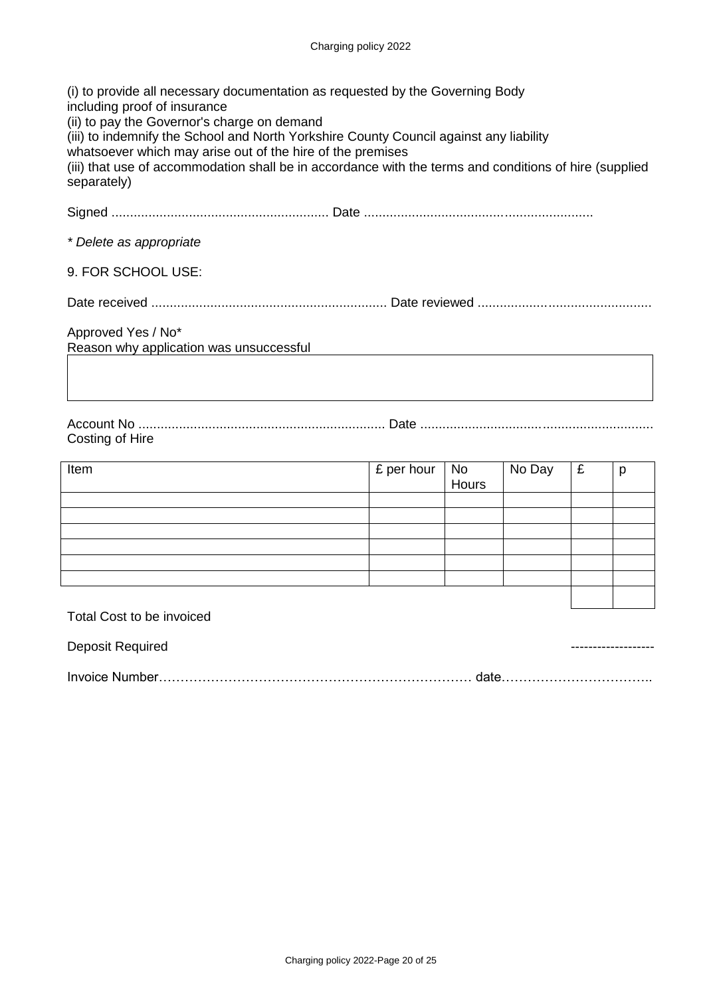| (i) to provide all necessary documentation as requested by the Governing Body<br>including proof of insurance<br>(ii) to pay the Governor's charge on demand<br>(iii) to indemnify the School and North Yorkshire County Council against any liability<br>whatsoever which may arise out of the hire of the premises<br>(iii) that use of accommodation shall be in accordance with the terms and conditions of hire (supplied<br>separately) |  |  |  |  |  |  |
|-----------------------------------------------------------------------------------------------------------------------------------------------------------------------------------------------------------------------------------------------------------------------------------------------------------------------------------------------------------------------------------------------------------------------------------------------|--|--|--|--|--|--|
|                                                                                                                                                                                                                                                                                                                                                                                                                                               |  |  |  |  |  |  |
| * Delete as appropriate                                                                                                                                                                                                                                                                                                                                                                                                                       |  |  |  |  |  |  |
| 9. FOR SCHOOL USE:                                                                                                                                                                                                                                                                                                                                                                                                                            |  |  |  |  |  |  |
|                                                                                                                                                                                                                                                                                                                                                                                                                                               |  |  |  |  |  |  |
| Approved Yes / No*<br>Reason why application was unsuccessful                                                                                                                                                                                                                                                                                                                                                                                 |  |  |  |  |  |  |
| Costing of Hire                                                                                                                                                                                                                                                                                                                                                                                                                               |  |  |  |  |  |  |
| £ per hour<br>No Day<br>£<br>Item<br><b>No</b><br>p<br><b>Hours</b>                                                                                                                                                                                                                                                                                                                                                                           |  |  |  |  |  |  |
|                                                                                                                                                                                                                                                                                                                                                                                                                                               |  |  |  |  |  |  |

Total Cost to be invoiced

| Deposit Required |  |
|------------------|--|
| Invoice Number.  |  |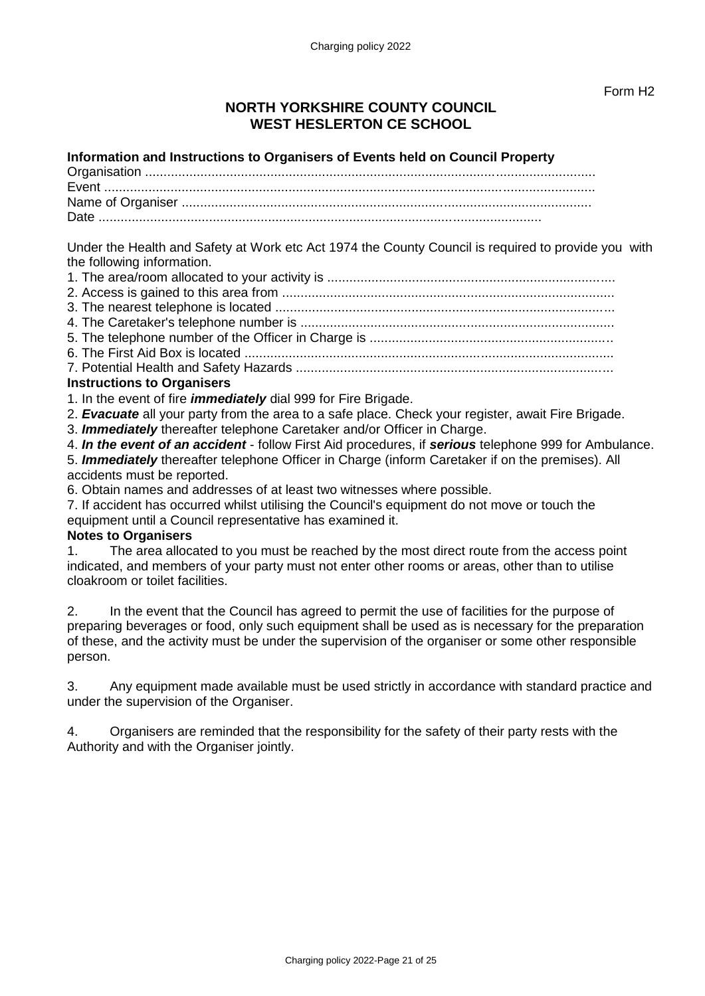# **NORTH YORKSHIRE COUNTY COUNCIL WEST HESLERTON CE SCHOOL**

### **Information and Instructions to Organisers of Events held on Council Property**

Under the Health and Safety at Work etc Act 1974 the County Council is required to provide you with the following information.

- 3. The nearest telephone is located ............................................................................................
- 4. The Caretaker's telephone number is .....................................................................................
- 5. The telephone number of the Officer in Charge is ..................................................................
- 6. The First Aid Box is located ....................................................................................................
- 7. Potential Health and Safety Hazards ......................................................................................

# **Instructions to Organisers**

- 1. In the event of fire *immediately* dial 999 for Fire Brigade.
- 2. *Evacuate* all your party from the area to a safe place. Check your register, await Fire Brigade.
- 3. *Immediately* thereafter telephone Caretaker and/or Officer in Charge.

4. *In the event of an accident* - follow First Aid procedures, if *serious* telephone 999 for Ambulance.

5. *Immediately* thereafter telephone Officer in Charge (inform Caretaker if on the premises). All accidents must be reported.

6. Obtain names and addresses of at least two witnesses where possible.

7. If accident has occurred whilst utilising the Council's equipment do not move or touch the equipment until a Council representative has examined it.

# **Notes to Organisers**

1. The area allocated to you must be reached by the most direct route from the access point indicated, and members of your party must not enter other rooms or areas, other than to utilise cloakroom or toilet facilities.

2. In the event that the Council has agreed to permit the use of facilities for the purpose of preparing beverages or food, only such equipment shall be used as is necessary for the preparation of these, and the activity must be under the supervision of the organiser or some other responsible person.

3. Any equipment made available must be used strictly in accordance with standard practice and under the supervision of the Organiser.

4. Organisers are reminded that the responsibility for the safety of their party rests with the Authority and with the Organiser jointly.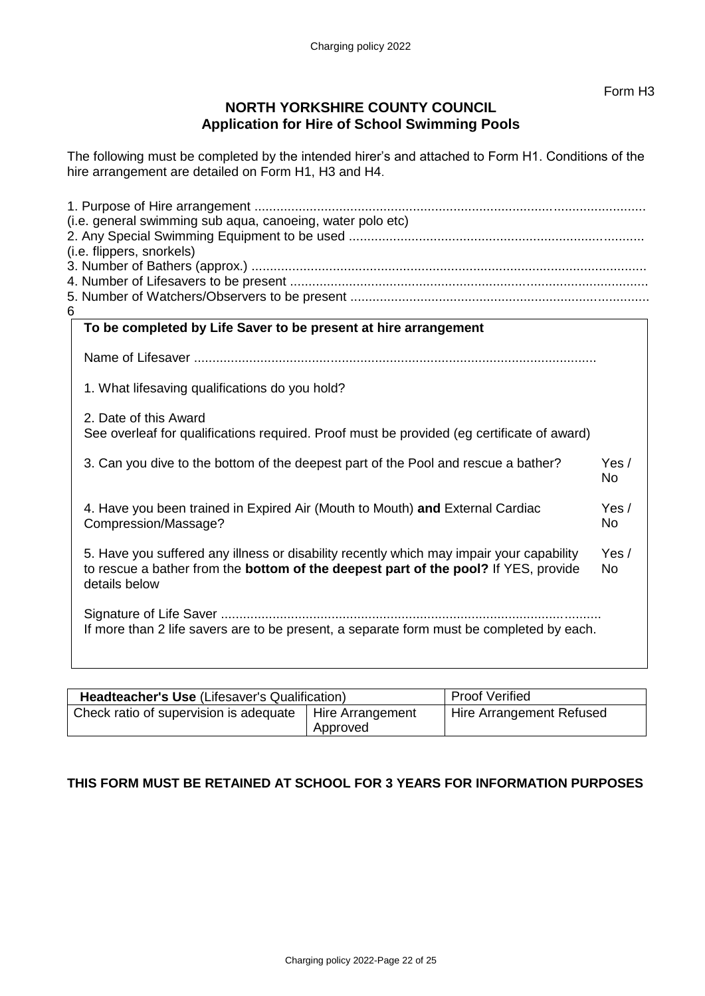# **NORTH YORKSHIRE COUNTY COUNCIL Application for Hire of School Swimming Pools**

The following must be completed by the intended hirer's and attached to Form H1. Conditions of the hire arrangement are detailed on Form H1, H3 and H4.

|   | (i.e. general swimming sub aqua, canoeing, water polo etc)                                                                                                                                              |                    |  |  |  |  |
|---|---------------------------------------------------------------------------------------------------------------------------------------------------------------------------------------------------------|--------------------|--|--|--|--|
|   |                                                                                                                                                                                                         |                    |  |  |  |  |
|   | (i.e. flippers, snorkels)                                                                                                                                                                               |                    |  |  |  |  |
|   |                                                                                                                                                                                                         |                    |  |  |  |  |
|   |                                                                                                                                                                                                         |                    |  |  |  |  |
|   |                                                                                                                                                                                                         |                    |  |  |  |  |
| 6 |                                                                                                                                                                                                         |                    |  |  |  |  |
|   | To be completed by Life Saver to be present at hire arrangement                                                                                                                                         |                    |  |  |  |  |
|   |                                                                                                                                                                                                         |                    |  |  |  |  |
|   | 1. What lifesaving qualifications do you hold?                                                                                                                                                          |                    |  |  |  |  |
|   | 2. Date of this Award<br>See overleaf for qualifications required. Proof must be provided (eg certificate of award)                                                                                     |                    |  |  |  |  |
|   | 3. Can you dive to the bottom of the deepest part of the Pool and rescue a bather?                                                                                                                      | Yes/<br><b>No</b>  |  |  |  |  |
|   | 4. Have you been trained in Expired Air (Mouth to Mouth) and External Cardiac<br>Compression/Massage?                                                                                                   | Yes/<br><b>No</b>  |  |  |  |  |
|   | 5. Have you suffered any illness or disability recently which may impair your capability<br>to rescue a bather from the <b>bottom of the deepest part of the pool?</b> If YES, provide<br>details below | Yes /<br><b>No</b> |  |  |  |  |
|   | If more than 2 life savers are to be present, a separate form must be completed by each.                                                                                                                |                    |  |  |  |  |

| <b>Headteacher's Use (Lifesaver's Qualification)</b> |                              | <b>Proof Verified</b>    |
|------------------------------------------------------|------------------------------|--------------------------|
| Check ratio of supervision is adequate               | Hire Arrangement<br>Approved | Hire Arrangement Refused |

# **THIS FORM MUST BE RETAINED AT SCHOOL FOR 3 YEARS FOR INFORMATION PURPOSES**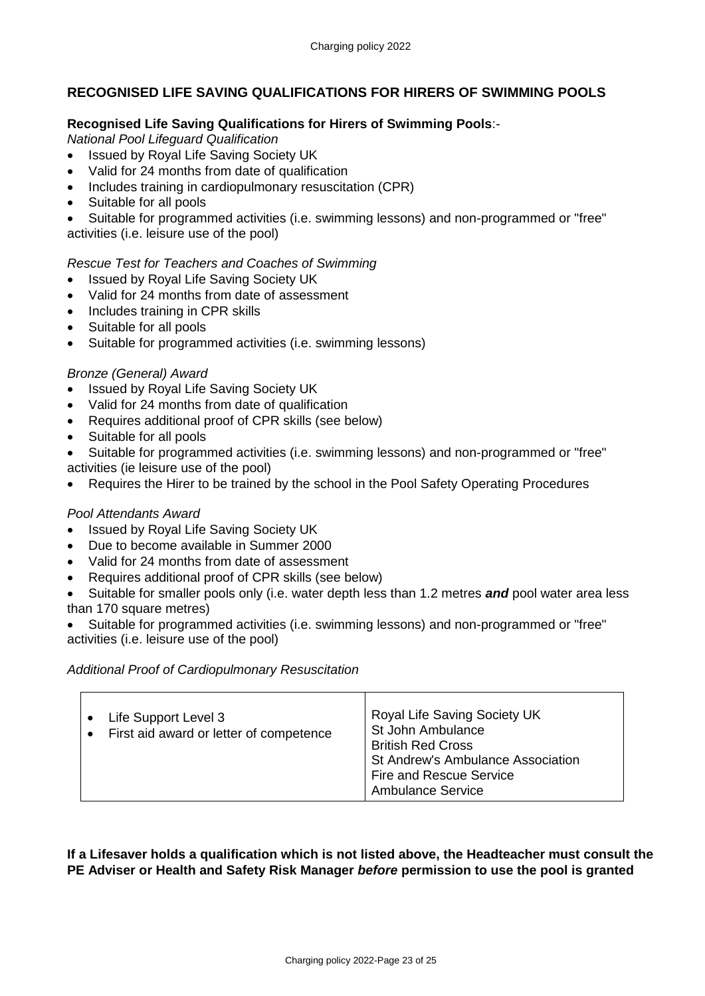# **RECOGNISED LIFE SAVING QUALIFICATIONS FOR HIRERS OF SWIMMING POOLS**

### **Recognised Life Saving Qualifications for Hirers of Swimming Pools**:-

*National Pool Lifeguard Qualification* 

- Issued by Royal Life Saving Society UK
- Valid for 24 months from date of qualification
- Includes training in cardiopulmonary resuscitation (CPR)
- Suitable for all pools
- Suitable for programmed activities (i.e. swimming lessons) and non-programmed or "free" activities (i.e. leisure use of the pool)

### *Rescue Test for Teachers and Coaches of Swimming*

- Issued by Royal Life Saving Society UK
- Valid for 24 months from date of assessment
- Includes training in CPR skills
- Suitable for all pools
- Suitable for programmed activities (i.e. swimming lessons)

### *Bronze (General) Award*

- Issued by Royal Life Saving Society UK
- Valid for 24 months from date of qualification
- Requires additional proof of CPR skills (see below)
- Suitable for all pools
- Suitable for programmed activities (i.e. swimming lessons) and non-programmed or "free" activities (ie leisure use of the pool)
- Requires the Hirer to be trained by the school in the Pool Safety Operating Procedures

### *Pool Attendants Award*

- Issued by Royal Life Saving Society UK
- Due to become available in Summer 2000
- Valid for 24 months from date of assessment
- Requires additional proof of CPR skills (see below)
- Suitable for smaller pools only (i.e. water depth less than 1.2 metres *and* pool water area less than 170 square metres)
- Suitable for programmed activities (i.e. swimming lessons) and non-programmed or "free" activities (i.e. leisure use of the pool)

### *Additional Proof of Cardiopulmonary Resuscitation*

| Life Support Level 3<br>First aid award or letter of competence<br>$\bullet$ | Royal Life Saving Society UK<br>St John Ambulance<br><b>British Red Cross</b><br>St Andrew's Ambulance Association<br><b>Fire and Rescue Service</b><br><b>Ambulance Service</b> |
|------------------------------------------------------------------------------|----------------------------------------------------------------------------------------------------------------------------------------------------------------------------------|
|------------------------------------------------------------------------------|----------------------------------------------------------------------------------------------------------------------------------------------------------------------------------|

**If a Lifesaver holds a qualification which is not listed above, the Headteacher must consult the PE Adviser or Health and Safety Risk Manager** *before* **permission to use the pool is granted**